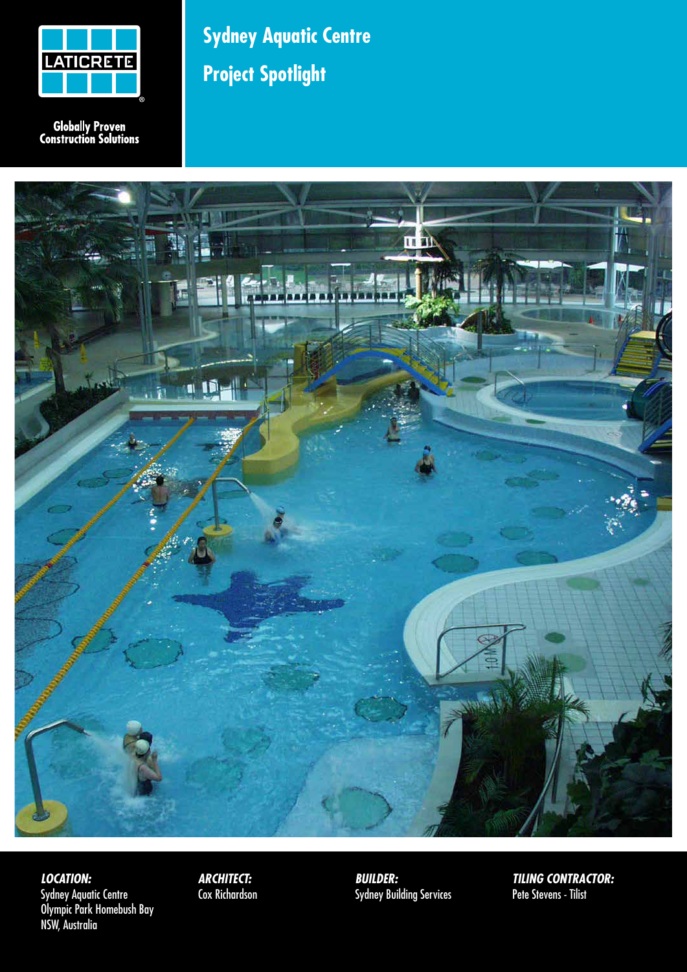

**Globally Proven<br>Construction Solutions** 

## **Sydney Aquatic Centre Project Spotlight**



*LOCATION:* Sydney Aquatic Centre Olympic Park Homebush Bay NSW, Australia

*ARCHITECT:* Cox Richardson *BUILDER:* Sydney Building Services *TILING CONTRACTOR:* Pete Stevens - Tilist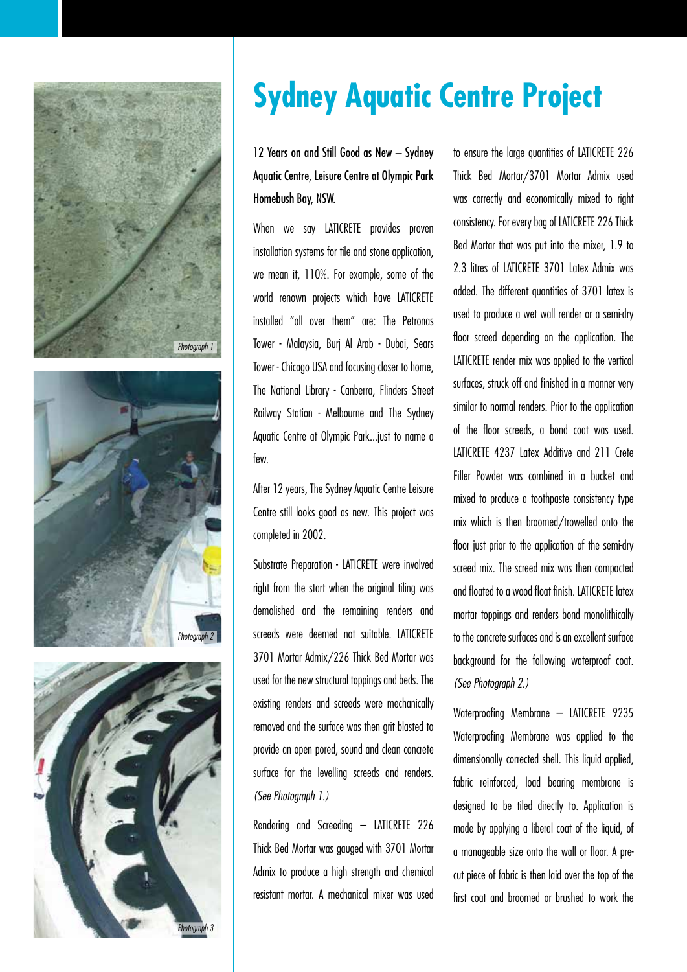





## **Sydney Aquatic Centre Project**

12 Years on and Still Good as New – Sydney Aquatic Centre, Leisure Centre at Olympic Park Homebush Bay, NSW.

When we say LATICRETE provides proven installation systems for tile and stone application, we mean it, 110%. For example, some of the world renown projects which have LATICRETE installed "all over them" are: The Petronas Tower - Malaysia, Burj Al Arab - Dubai, Sears Tower - Chicago USA and focusing closer to home, The National Library - Canberra, Flinders Street Railway Station - Melbourne and The Sydney Aquatic Centre at Olympic Park...just to name a few.

After 12 years, The Sydney Aquatic Centre Leisure Centre still looks good as new. This project was completed in 2002.

Substrate Preparation - LATICRETE were involved right from the start when the original tiling was demolished and the remaining renders and screeds were deemed not suitable. LATICRETE 3701 Mortar Admix/226 Thick Bed Mortar was used for the new structural toppings and beds. The existing renders and screeds were mechanically removed and the surface was then grit blasted to provide an open pored, sound and clean concrete surface for the levelling screeds and renders. *(See Photograph 1.)*

Rendering and Screeding – LATICRETE 226 Thick Bed Mortar was gauged with 3701 Mortar Admix to produce a high strength and chemical resistant mortar. A mechanical mixer was used

to ensure the large quantities of LATICRETE 226 Thick Bed Mortar/3701 Mortar Admix used was correctly and economically mixed to right consistency. For every bag of LATICRETE 226 Thick Bed Mortar that was put into the mixer, 1.9 to 2.3 litres of LATICRETE 3701 Latex Admix was added. The different quantities of 3701 latex is used to produce a wet wall render or a semi-dry floor screed depending on the application. The LATICRETE render mix was applied to the vertical surfaces, struck off and finished in a manner very similar to normal renders. Prior to the application of the floor screeds, a bond coat was used. LATICRETE 4237 Latex Additive and 211 Crete Filler Powder was combined in a bucket and mixed to produce a toothpaste consistency type mix which is then broomed/trowelled onto the floor just prior to the application of the semi-dry screed mix. The screed mix was then compacted and floated to a wood float finish. LATICRETE latex mortar toppings and renders bond monolithically to the concrete surfaces and is an excellent surface background for the following waterproof coat. *(See Photograph 2.)*

Waterproofing Membrane – LATICRETE 9235 Waterproofing Membrane was applied to the dimensionally corrected shell. This liquid applied, fabric reinforced, load bearing membrane is designed to be tiled directly to. Application is made by applying a liberal coat of the liquid, of a manageable size onto the wall or floor. A precut piece of fabric is then laid over the top of the first coat and broomed or brushed to work the